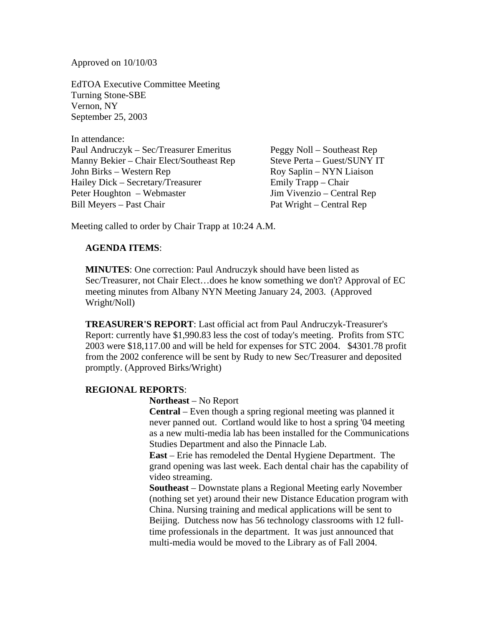Approved on 10/10/03

EdTOA Executive Committee Meeting Turning Stone-SBE Vernon, NY September 25, 2003

In attendance: Paul Andruczyk – Sec/Treasurer Emeritus Peggy Noll – Southeast Rep Manny Bekier – Chair Elect/Southeast Rep Steve Perta – Guest/SUNY IT John Birks – Western Rep Roy Saplin – NYN Liaison Hailey Dick – Secretary/Treasurer Emily Trapp – Chair Peter Houghton – Webmaster Jim Vivenzio – Central Rep Bill Meyers – Past Chair Pat Wright – Central Rep

Meeting called to order by Chair Trapp at 10:24 A.M.

# **AGENDA ITEMS**:

**MINUTES**: One correction: Paul Andruczyk should have been listed as Sec/Treasurer, not Chair Elect…does he know something we don't? Approval of EC meeting minutes from Albany NYN Meeting January 24, 2003. (Approved Wright/Noll)

**TREASURER'S REPORT**: Last official act from Paul Andruczyk-Treasurer's Report: currently have \$1,990.83 less the cost of today's meeting. Profits from STC 2003 were \$18,117.00 and will be held for expenses for STC 2004. \$4301.78 profit from the 2002 conference will be sent by Rudy to new Sec/Treasurer and deposited promptly. (Approved Birks/Wright)

## **REGIONAL REPORTS**:

**Northeast** – No Report

**Central** – Even though a spring regional meeting was planned it never panned out. Cortland would like to host a spring '04 meeting as a new multi-media lab has been installed for the Communications Studies Department and also the Pinnacle Lab.

**East** – Erie has remodeled the Dental Hygiene Department. The grand opening was last week. Each dental chair has the capability of video streaming.

**Southeast** – Downstate plans a Regional Meeting early November (nothing set yet) around their new Distance Education program with China. Nursing training and medical applications will be sent to Beijing. Dutchess now has 56 technology classrooms with 12 fulltime professionals in the department. It was just announced that multi-media would be moved to the Library as of Fall 2004.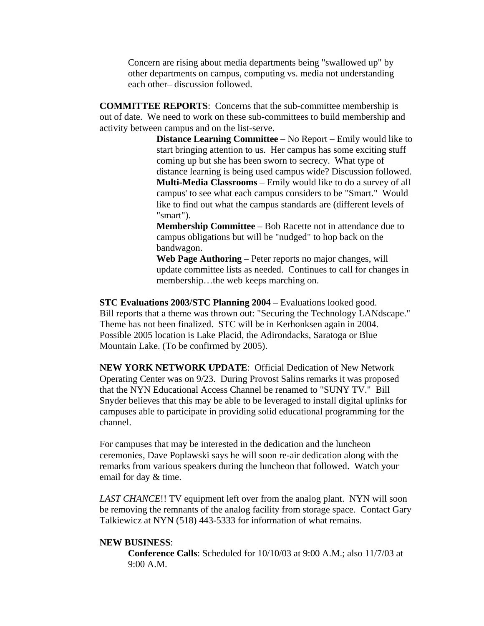Concern are rising about media departments being "swallowed up" by other departments on campus, computing vs. media not understanding each other– discussion followed.

**COMMITTEE REPORTS**: Concerns that the sub-committee membership is out of date. We need to work on these sub-committees to build membership and activity between campus and on the list-serve.

> **Distance Learning Committee** – No Report – Emily would like to start bringing attention to us. Her campus has some exciting stuff coming up but she has been sworn to secrecy. What type of distance learning is being used campus wide? Discussion followed. **Multi-Media Classrooms** – Emily would like to do a survey of all campus' to see what each campus considers to be "Smart." Would like to find out what the campus standards are (different levels of "smart").

**Membership Committee** – Bob Racette not in attendance due to campus obligations but will be "nudged" to hop back on the bandwagon.

**Web Page Authoring** – Peter reports no major changes, will update committee lists as needed. Continues to call for changes in membership…the web keeps marching on.

**STC Evaluations 2003/STC Planning 2004** – Evaluations looked good. Bill reports that a theme was thrown out: "Securing the Technology LANdscape." Theme has not been finalized. STC will be in Kerhonksen again in 2004. Possible 2005 location is Lake Placid, the Adirondacks, Saratoga or Blue Mountain Lake. (To be confirmed by 2005).

**NEW YORK NETWORK UPDATE**: Official Dedication of New Network Operating Center was on 9/23. During Provost Salins remarks it was proposed that the NYN Educational Access Channel be renamed to "SUNY TV." Bill Snyder believes that this may be able to be leveraged to install digital uplinks for campuses able to participate in providing solid educational programming for the channel.

For campuses that may be interested in the dedication and the luncheon ceremonies, Dave Poplawski says he will soon re-air dedication along with the remarks from various speakers during the luncheon that followed. Watch your email for day & time.

*LAST CHANCE*!! TV equipment left over from the analog plant. NYN will soon be removing the remnants of the analog facility from storage space. Contact Gary Talkiewicz at NYN (518) 443-5333 for information of what remains.

## **NEW BUSINESS**:

**Conference Calls**: Scheduled for 10/10/03 at 9:00 A.M.; also 11/7/03 at 9:00 A.M.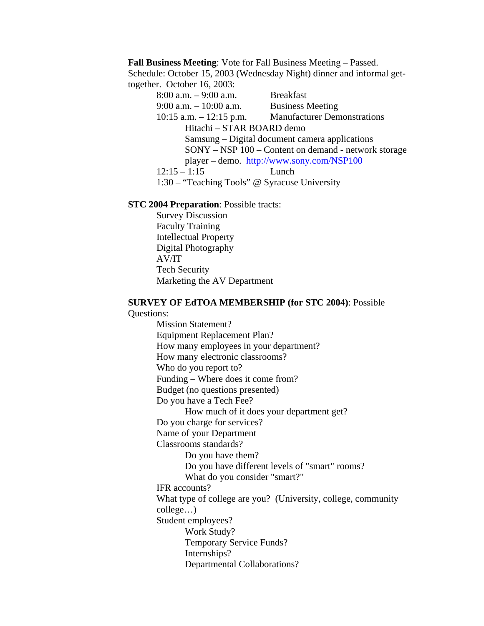**Fall Business Meeting**: Vote for Fall Business Meeting – Passed. Schedule: October 15, 2003 (Wednesday Night) dinner and informal gettogether. October 16, 2003:

> 8:00 a.m. – 9:00 a.m. Breakfast 9:00 a.m. – 10:00 a.m. Business Meeting 10:15 a.m. – 12:15 p.m. Manufacturer Demonstrations Hitachi – STAR BOARD demo Samsung – Digital document camera applications SONY – NSP 100 – Content on demand - network storage player – demo. http://www.sony.com/NSP100 12:15 – 1:15 Lunch 1:30 – "Teaching Tools" @ Syracuse University

#### **STC 2004 Preparation**: Possible tracts:

 Survey Discussion Faculty Training Intellectual Property Digital Photography AV/IT Tech Security Marketing the AV Department

# **SURVEY OF EdTOA MEMBERSHIP (for STC 2004)**: Possible

Questions:

 Mission Statement? Equipment Replacement Plan? How many employees in your department? How many electronic classrooms? Who do you report to? Funding – Where does it come from? Budget (no questions presented) Do you have a Tech Fee? How much of it does your department get? Do you charge for services? Name of your Department Classrooms standards? Do you have them? Do you have different levels of "smart" rooms? What do you consider "smart?" IFR accounts? What type of college are you? (University, college, community college…) Student employees? Work Study? Temporary Service Funds? Internships? Departmental Collaborations?